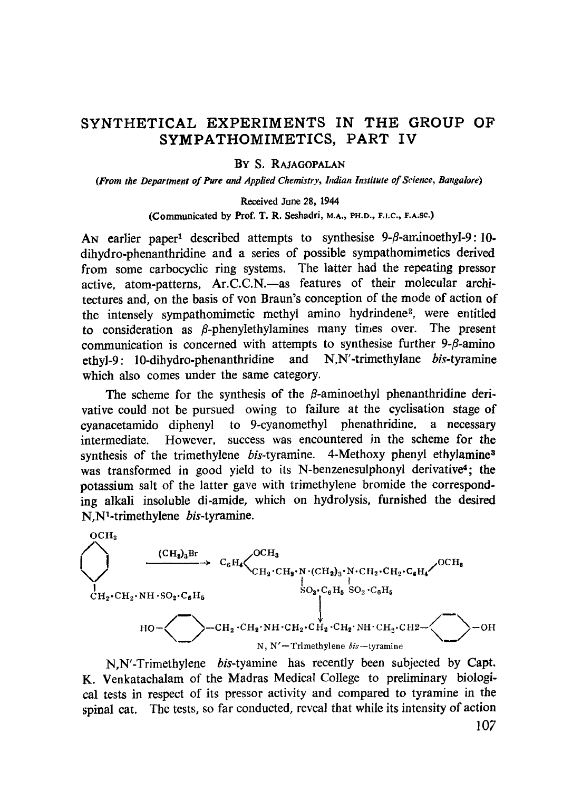# SYNTHETICAL EXPERIMENTS IN THE GROUP OF SYMPATHOMIMETICS, PART IV

#### BY S. RAJAGOPALAN

*(From the Department of Pure and Applied Chemistry, Indian Institute of Science, Bangalore)*

#### Received June 28, 1944

(Communicated by Prof. T. R. Seshadri, M.A., PH.D., F.i.C., F.A.Sc.)

An earlier paper<sup>1</sup> described attempts to synthesise  $9-\beta$ -arninoethyl-9:10dihydro-phenanthridine and a series of possible sympathomimetics derived from some carbocyclic ring systems. The latter had the repeating pressor active, atom-patterns, Ar.C.C.N.—as features of their molecular architectures and, on the basis of von Braun's conception of the mode of action of the intensely sympathomimetic methyl amino hydrindene<sup>2</sup>, were entitled to consideration as  $\beta$ -phenylethylamines many times over. The present communication is concerned with attempts to synthesise further  $9-\beta$ -amino ethyl-9: 10-dihydro-phenanthridine and N,N'-trimethylane bis-tyramine which also comes under the same category.

The scheme for the synthesis of the  $\beta$ -aminoethyl phenanthridine derivative could not be pursued owing to failure at the cyclisation stage of cyanacetamido diphenyl to 9-cyanomethyl phenathridine, a necessary intermediate. However, success was encountered in the scheme for the synthesis of the trimethylene bis-tyramine. 4-Methoxy phenyl ethylamine<sup>3</sup> was transformed in good yield to its N-benzenesulphonyl derivative<sup>4</sup>; the potassium salt of the latter gave with trimethylene bromide the corresponding alkali insoluble di-amide, which on hydrolysis, furnished the desired N,N'-trimethylene bis-tyramine.



N,N'-Trimethylene bis-tyamine has recently been subjected by Capt. K. Venkatachalam of the Madras Medical College to preliminary biological tests in respect of its pressor activity and compared to tyramine in the spinal cat. The tests, so far conducted, reveal that while its intensity of action